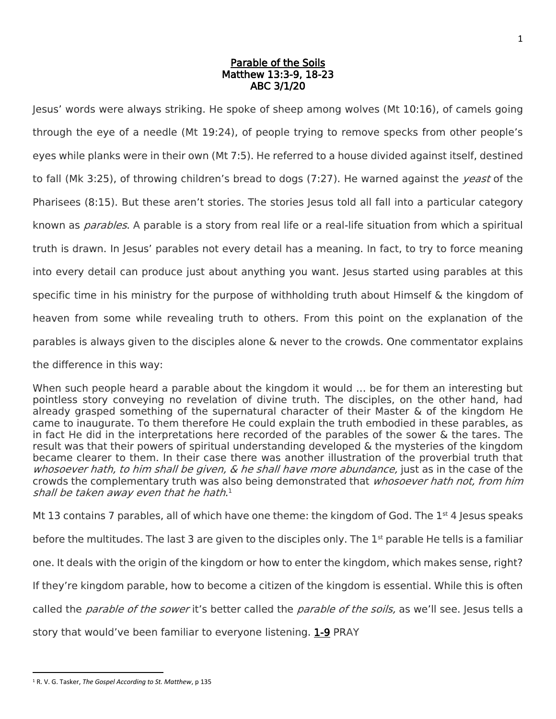## Parable of the Soils Matthew 13:3-9, 18-23 ABC 3/1/20

Jesus' words were always striking. He spoke of sheep among wolves (Mt 10:16), of camels going through the eye of a needle (Mt 19:24), of people trying to remove specks from other people's eyes while planks were in their own (Mt 7:5). He referred to a house divided against itself, destined to fall (Mk 3:25), of throwing children's bread to dogs (7:27). He warned against the *yeast* of the Pharisees (8:15). But these aren't stories. The stories Jesus told all fall into a particular category known as *parables*. A parable is a story from real life or a real-life situation from which a spiritual truth is drawn. In Jesus' parables not every detail has a meaning. In fact, to try to force meaning into every detail can produce just about anything you want. Jesus started using parables at this specific time in his ministry for the purpose of withholding truth about Himself & the kingdom of heaven from some while revealing truth to others. From this point on the explanation of the parables is always given to the disciples alone & never to the crowds. One commentator explains the difference in this way:

When such people heard a parable about the kingdom it would … be for them an interesting but pointless story conveying no revelation of divine truth. The disciples, on the other hand, had already grasped something of the supernatural character of their Master & of the kingdom He came to inaugurate. To them therefore He could explain the truth embodied in these parables, as in fact He did in the interpretations here recorded of the parables of the sower & the tares. The result was that their powers of spiritual understanding developed & the mysteries of the kingdom became clearer to them. In their case there was another illustration of the proverbial truth that whosoever hath, to him shall be given, & he shall have more abundance, just as in the case of the crowds the complementary truth was also being demonstrated that *whosoever hath not, from him* shall be taken away even that he hath. 1

Mt 13 contains 7 parables, all of which have one theme: the kingdom of God. The  $1<sup>st</sup>$  4 Jesus speaks

before the multitudes. The last 3 are given to the disciples only. The  $1<sup>st</sup>$  parable He tells is a familiar

one. It deals with the origin of the kingdom or how to enter the kingdom, which makes sense, right?

If they're kingdom parable, how to become a citizen of the kingdom is essential. While this is often

called the *parable of the sower* it's better called the *parable of the soils*, as we'll see. Jesus tells a

story that would've been familiar to everyone listening. 1-9 PRAY

l <sup>1</sup> R. V. G. Tasker, *The Gospel According to St. Matthew*, p 135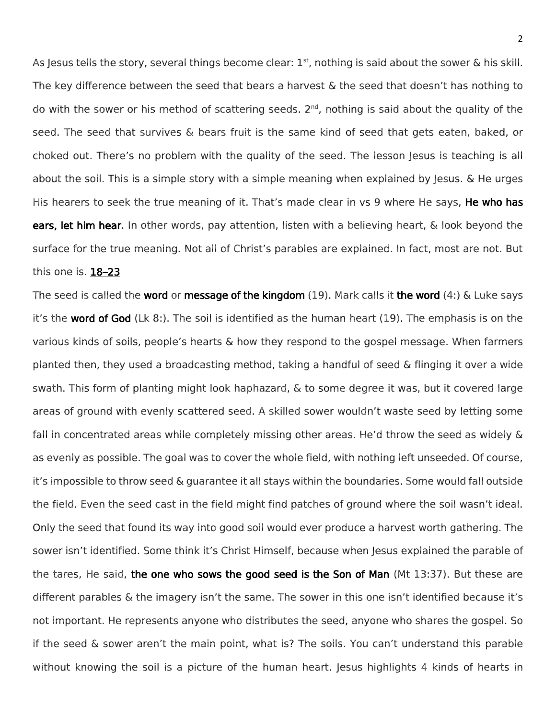As Jesus tells the story, several things become clear:  $1<sup>st</sup>$ , nothing is said about the sower & his skill. The key difference between the seed that bears a harvest & the seed that doesn't has nothing to do with the sower or his method of scattering seeds. 2<sup>nd</sup>, nothing is said about the quality of the seed. The seed that survives & bears fruit is the same kind of seed that gets eaten, baked, or choked out. There's no problem with the quality of the seed. The lesson Jesus is teaching is all about the soil. This is a simple story with a simple meaning when explained by Jesus. & He urges His hearers to seek the true meaning of it. That's made clear in vs 9 where He says, He who has ears, let him hear. In other words, pay attention, listen with a believing heart, & look beyond the surface for the true meaning. Not all of Christ's parables are explained. In fact, most are not. But this one is. 18–23

The seed is called the word or message of the kingdom  $(19)$ . Mark calls it the word  $(4)$ : & Luke says it's the word of God  $(Lk 8:$ ). The soil is identified as the human heart  $(19)$ . The emphasis is on the various kinds of soils, people's hearts & how they respond to the gospel message. When farmers planted then, they used a broadcasting method, taking a handful of seed & flinging it over a wide swath. This form of planting might look haphazard, & to some degree it was, but it covered large areas of ground with evenly scattered seed. A skilled sower wouldn't waste seed by letting some fall in concentrated areas while completely missing other areas. He'd throw the seed as widely & as evenly as possible. The goal was to cover the whole field, with nothing left unseeded. Of course, it's impossible to throw seed & guarantee it all stays within the boundaries. Some would fall outside the field. Even the seed cast in the field might find patches of ground where the soil wasn't ideal. Only the seed that found its way into good soil would ever produce a harvest worth gathering. The sower isn't identified. Some think it's Christ Himself, because when Jesus explained the parable of the tares, He said, the one who sows the good seed is the Son of Man (Mt 13:37). But these are different parables & the imagery isn't the same. The sower in this one isn't identified because it's not important. He represents anyone who distributes the seed, anyone who shares the gospel. So if the seed & sower aren't the main point, what is? The soils. You can't understand this parable without knowing the soil is a picture of the human heart. Jesus highlights 4 kinds of hearts in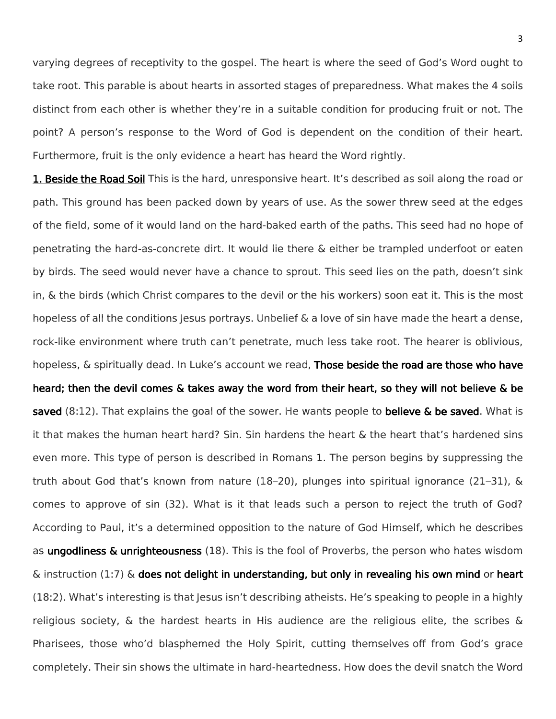varying degrees of receptivity to the gospel. The heart is where the seed of God's Word ought to take root. This parable is about hearts in assorted stages of preparedness. What makes the 4 soils distinct from each other is whether they're in a suitable condition for producing fruit or not. The point? A person's response to the Word of God is dependent on the condition of their heart. Furthermore, fruit is the only evidence a heart has heard the Word rightly.

1. Beside the Road Soil This is the hard, unresponsive heart. It's described as soil along the road or path. This ground has been packed down by years of use. As the sower threw seed at the edges of the field, some of it would land on the hard-baked earth of the paths. This seed had no hope of penetrating the hard-as-concrete dirt. It would lie there & either be trampled underfoot or eaten by birds. The seed would never have a chance to sprout. This seed lies on the path, doesn't sink in, & the birds (which Christ compares to the devil or the his workers) soon eat it. This is the most hopeless of all the conditions Jesus portrays. Unbelief  $\&$  a love of sin have made the heart a dense, rock-like environment where truth can't penetrate, much less take root. The hearer is oblivious, hopeless, & spiritually dead. In Luke's account we read, Those beside the road are those who have heard; then the devil comes & takes away the word from their heart, so they will not believe & be saved (8:12). That explains the goal of the sower. He wants people to **believe & be saved**. What is it that makes the human heart hard? Sin. Sin hardens the heart & the heart that's hardened sins even more. This type of person is described in Romans 1. The person begins by suppressing the truth about God that's known from nature (18–20), plunges into spiritual ignorance (21–31), & comes to approve of sin (32). What is it that leads such a person to reject the truth of God? According to Paul, it's a determined opposition to the nature of God Himself, which he describes as ungodliness & unrighteousness (18). This is the fool of Proverbs, the person who hates wisdom  $\&$  instruction (1:7)  $\&$  does not delight in understanding, but only in revealing his own mind or heart (18:2). What's interesting is that Jesus isn't describing atheists. He's speaking to people in a highly religious society,  $\&$  the hardest hearts in His audience are the religious elite, the scribes  $\&$ Pharisees, those who'd blasphemed the Holy Spirit, cutting themselves off from God's grace completely. Their sin shows the ultimate in hard-heartedness. How does the devil snatch the Word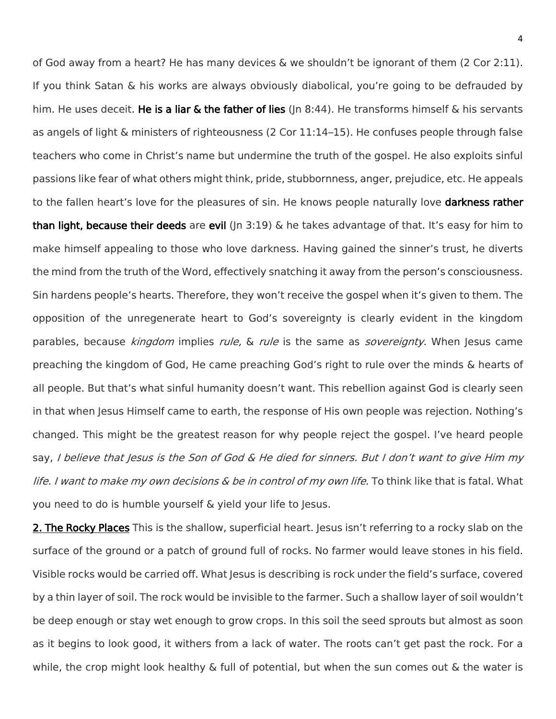of God away from a heart? He has many devices & we shouldn't be ignorant of them (2 Cor 2:11). If you think Satan & his works are always obviously diabolical, you're going to be defrauded by him. He uses deceit. He is a liar  $\&$  the father of lies (In 8:44). He transforms himself  $\&$  his servants as angels of light & ministers of righteousness (2 Cor 11:14–15). He confuses people through false teachers who come in Christ's name but undermine the truth of the gospel. He also exploits sinful passions like fear of what others might think, pride, stubbornness, anger, prejudice, etc. He appeals to the fallen heart's love for the pleasures of sin. He knows people naturally love **darkness rather** than light, because their deeds are evil ( $\ln 3:19$ ) & he takes advantage of that. It's easy for him to make himself appealing to those who love darkness. Having gained the sinner's trust, he diverts the mind from the truth of the Word, effectively snatching it away from the person's consciousness. Sin hardens people's hearts. Therefore, they won't receive the gospel when it's given to them. The opposition of the unregenerate heart to God's sovereignty is clearly evident in the kingdom parables, because *kingdom* implies *rule*, & *rule* is the same as *sovereignty*. When Jesus came preaching the kingdom of God, He came preaching God's right to rule over the minds & hearts of all people. But that's what sinful humanity doesn't want. This rebellion against God is clearly seen in that when Jesus Himself came to earth, the response of His own people was rejection. Nothing's changed. This might be the greatest reason for why people reject the gospel. I've heard people say, I believe that Jesus is the Son of God  $\&$  He died for sinners. But I don't want to give Him my life. I want to make my own decisions & be in control of my own life. To think like that is fatal. What you need to do is humble yourself & yield your life to Jesus.

2. The Rocky Places This is the shallow, superficial heart. Jesus isn't referring to a rocky slab on the surface of the ground or a patch of ground full of rocks. No farmer would leave stones in his field. Visible rocks would be carried off. What Jesus is describing is rock under the field's surface, covered by a thin layer of soil. The rock would be invisible to the farmer. Such a shallow layer of soil wouldn't be deep enough or stay wet enough to grow crops. In this soil the seed sprouts but almost as soon as it begins to look good, it withers from a lack of water. The roots can't get past the rock. For a while, the crop might look healthy & full of potential, but when the sun comes out & the water is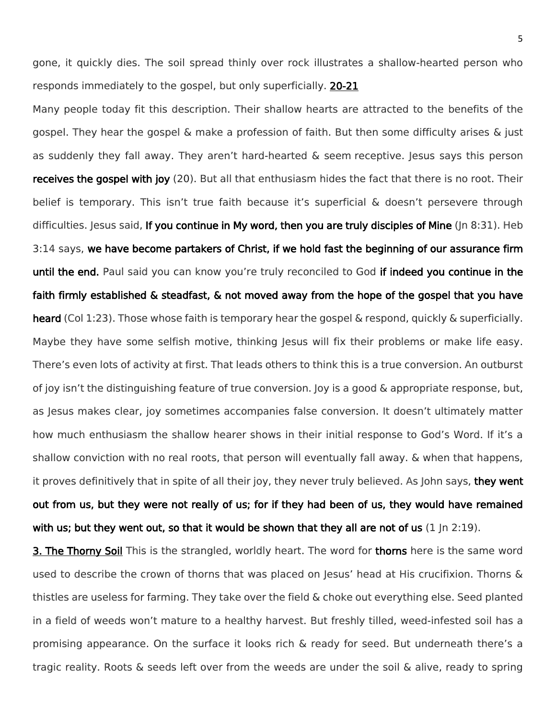gone, it quickly dies. The soil spread thinly over rock illustrates a shallow-hearted person who responds immediately to the gospel, but only superficially. 20-21

Many people today fit this description. Their shallow hearts are attracted to the benefits of the gospel. They hear the gospel & make a profession of faith. But then some difficulty arises & just as suddenly they fall away. They aren't hard-hearted & seem receptive. Jesus says this person receives the gospel with joy (20). But all that enthusiasm hides the fact that there is no root. Their belief is temporary. This isn't true faith because it's superficial & doesn't persevere through difficulties. Jesus said, If you continue in My word, then you are truly disciples of Mine (Jn 8:31). Heb 3:14 says, we have become partakers of Christ, if we hold fast the beginning of our assurance firm until the end. Paul said you can know you're truly reconciled to God if indeed you continue in the faith firmly established & steadfast, & not moved away from the hope of the gospel that you have heard (Col 1:23). Those whose faith is temporary hear the gospel & respond, quickly & superficially. Maybe they have some selfish motive, thinking Jesus will fix their problems or make life easy. There's even lots of activity at first. That leads others to think this is a true conversion. An outburst of joy isn't the distinguishing feature of true conversion. Joy is a good & appropriate response, but, as Jesus makes clear, joy sometimes accompanies false conversion. It doesn't ultimately matter how much enthusiasm the shallow hearer shows in their initial response to God's Word. If it's a shallow conviction with no real roots, that person will eventually fall away. & when that happens, it proves definitively that in spite of all their joy, they never truly believed. As John says, they went out from us, but they were not really of us; for if they had been of us, they would have remained with us; but they went out, so that it would be shown that they all are not of us  $(1 \ln 2:19)$ .

3. The Thorny Soil This is the strangled, worldly heart. The word for thorns here is the same word used to describe the crown of thorns that was placed on Jesus' head at His crucifixion. Thorns & thistles are useless for farming. They take over the field & choke out everything else. Seed planted in a field of weeds won't mature to a healthy harvest. But freshly tilled, weed-infested soil has a promising appearance. On the surface it looks rich & ready for seed. But underneath there's a tragic reality. Roots & seeds left over from the weeds are under the soil & alive, ready to spring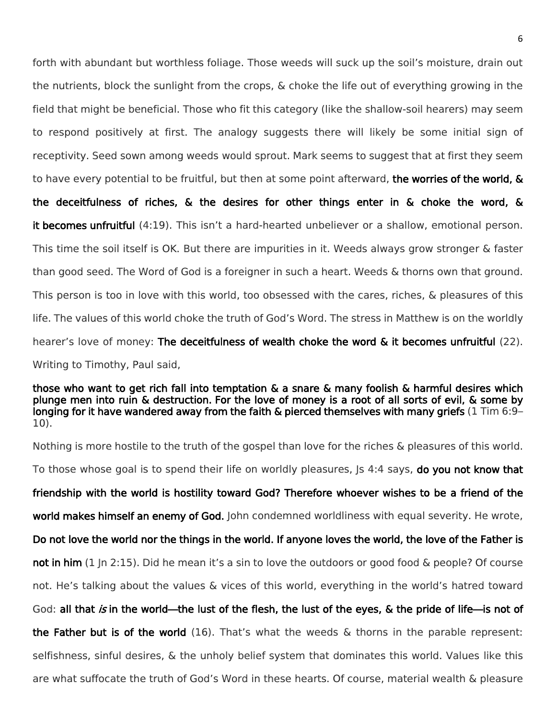forth with abundant but worthless foliage. Those weeds will suck up the soil's moisture, drain out the nutrients, block the sunlight from the crops, & choke the life out of everything growing in the field that might be beneficial. Those who fit this category (like the shallow-soil hearers) may seem to respond positively at first. The analogy suggests there will likely be some initial sign of receptivity. Seed sown among weeds would sprout. Mark seems to suggest that at first they seem to have every potential to be fruitful, but then at some point afterward, the worries of the world, & the deceitfulness of riches, & the desires for other things enter in & choke the word, & it becomes unfruitful (4:19). This isn't a hard-hearted unbeliever or a shallow, emotional person. This time the soil itself is OK. But there are impurities in it. Weeds always grow stronger & faster than good seed. The Word of God is a foreigner in such a heart. Weeds & thorns own that ground. This person is too in love with this world, too obsessed with the cares, riches, & pleasures of this life. The values of this world choke the truth of God's Word. The stress in Matthew is on the worldly hearer's love of money: The deceitfulness of wealth choke the word & it becomes unfruitful (22). Writing to Timothy, Paul said,

those who want to get rich fall into temptation & a snare & many foolish & harmful desires which plunge men into ruin & destruction. For the love of money is a root of all sorts of evil, & some by longing for it have wandered away from the faith & pierced themselves with many griefs (1 Tim 6:9– 10).

Nothing is more hostile to the truth of the gospel than love for the riches & pleasures of this world. To those whose goal is to spend their life on worldly pleasures, Is 4:4 says, do you not know that friendship with the world is hostility toward God? Therefore whoever wishes to be a friend of the world makes himself an enemy of God. John condemned worldliness with equal severity. He wrote, Do not love the world nor the things in the world. If anyone loves the world, the love of the Father is not in him (1 In 2:15). Did he mean it's a sin to love the outdoors or good food & people? Of course not. He's talking about the values & vices of this world, everything in the world's hatred toward God: all that is in the world—the lust of the flesh, the lust of the eyes, & the pride of life—is not of the Father but is of the world  $(16)$ . That's what the weeds & thorns in the parable represent: selfishness, sinful desires, & the unholy belief system that dominates this world. Values like this are what suffocate the truth of God's Word in these hearts. Of course, material wealth & pleasure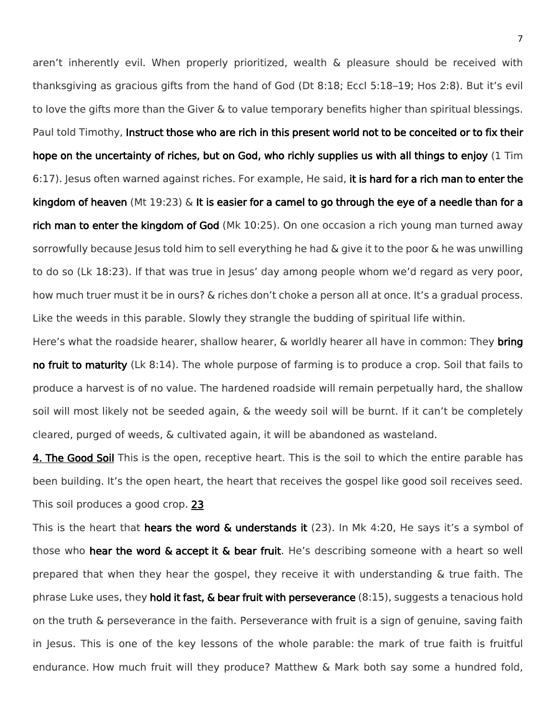aren't inherently evil. When properly prioritized, wealth & pleasure should be received with thanksgiving as gracious gifts from the hand of God (Dt 8:18; Eccl 5:18–19; Hos 2:8). But it's evil to love the gifts more than the Giver & to value temporary benefits higher than spiritual blessings. Paul told Timothy, Instruct those who are rich in this present world not to be conceited or to fix their hope on the uncertainty of riches, but on God, who richly supplies us with all things to enjoy (1 Tim 6:17). Jesus often warned against riches. For example, He said, it is hard for a rich man to enter the kingdom of heaven (Mt 19:23) & It is easier for a camel to go through the eye of a needle than for a rich man to enter the kingdom of God (Mk 10:25). On one occasion a rich young man turned away sorrowfully because Jesus told him to sell everything he had  $\&$  give it to the poor  $\&$  he was unwilling to do so (Lk 18:23). If that was true in Jesus' day among people whom we'd regard as very poor, how much truer must it be in ours? & riches don't choke a person all at once. It's a gradual process. Like the weeds in this parable. Slowly they strangle the budding of spiritual life within.

Here's what the roadside hearer, shallow hearer, & worldly hearer all have in common: They bring no fruit to maturity (Lk 8:14). The whole purpose of farming is to produce a crop. Soil that fails to produce a harvest is of no value. The hardened roadside will remain perpetually hard, the shallow soil will most likely not be seeded again, & the weedy soil will be burnt. If it can't be completely cleared, purged of weeds, & cultivated again, it will be abandoned as wasteland.

**4. The Good Soil** This is the open, receptive heart. This is the soil to which the entire parable has been building. It's the open heart, the heart that receives the gospel like good soil receives seed. This soil produces a good crop. 23

This is the heart that hears the word  $\&$  understands it (23). In Mk 4:20, He says it's a symbol of those who hear the word & accept it & bear fruit. He's describing someone with a heart so well prepared that when they hear the gospel, they receive it with understanding & true faith. The phrase Luke uses, they hold it fast,  $\&$  bear fruit with perseverance (8:15), suggests a tenacious hold on the truth & perseverance in the faith. Perseverance with fruit is a sign of genuine, saving faith in Jesus. This is one of the key lessons of the whole parable: the mark of true faith is fruitful endurance. How much fruit will they produce? Matthew & Mark both say some a hundred fold,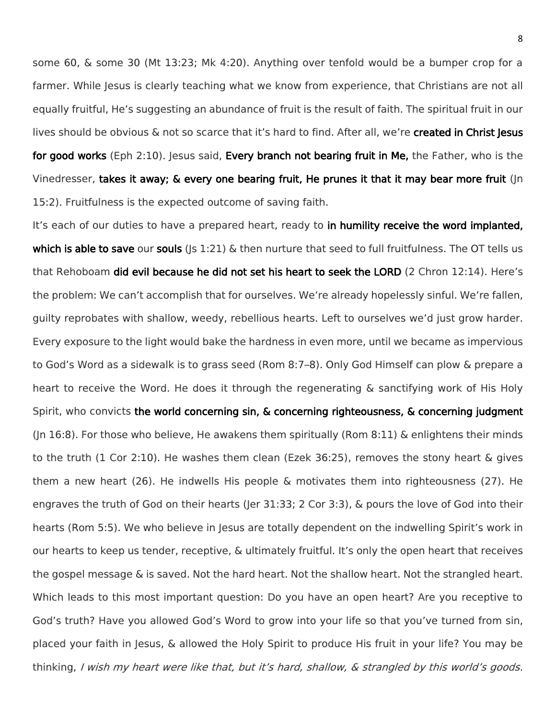some 60, & some 30 (Mt 13:23; Mk 4:20). Anything over tenfold would be a bumper crop for a farmer. While Jesus is clearly teaching what we know from experience, that Christians are not all equally fruitful, He's suggesting an abundance of fruit is the result of faith. The spiritual fruit in our lives should be obvious & not so scarce that it's hard to find. After all, we're created in Christ Jesus for good works (Eph 2:10). Jesus said, Every branch not bearing fruit in Me, the Father, who is the Vinedresser, takes it away; & every one bearing fruit, He prunes it that it may bear more fruit (Jn 15:2). Fruitfulness is the expected outcome of saving faith.

It's each of our duties to have a prepared heart, ready to in humility receive the word implanted, which is able to save our souls ( $|s\>1:21\rangle$  & then nurture that seed to full fruitfulness. The OT tells us that Rehoboam did evil because he did not set his heart to seek the LORD (2 Chron 12:14). Here's the problem: We can't accomplish that for ourselves. We're already hopelessly sinful. We're fallen, guilty reprobates with shallow, weedy, rebellious hearts. Left to ourselves we'd just grow harder. Every exposure to the light would bake the hardness in even more, until we became as impervious to God's Word as a sidewalk is to grass seed (Rom 8:7–8). Only God Himself can plow & prepare a heart to receive the Word. He does it through the regenerating & sanctifying work of His Holy Spirit, who convicts the world concerning sin, & concerning righteousness, & concerning judgment (Jn 16:8). For those who believe, He awakens them spiritually (Rom 8:11) & enlightens their minds to the truth (1 Cor 2:10). He washes them clean (Ezek 36:25), removes the stony heart & gives them a new heart (26). He indwells His people & motivates them into righteousness (27). He engraves the truth of God on their hearts (Jer 31:33; 2 Cor 3:3), & pours the love of God into their hearts (Rom 5:5). We who believe in Jesus are totally dependent on the indwelling Spirit's work in our hearts to keep us tender, receptive, & ultimately fruitful. It's only the open heart that receives the gospel message & is saved. Not the hard heart. Not the shallow heart. Not the strangled heart. Which leads to this most important question: Do you have an open heart? Are you receptive to God's truth? Have you allowed God's Word to grow into your life so that you've turned from sin, placed your faith in Jesus, & allowed the Holy Spirit to produce His fruit in your life? You may be thinking, I wish my heart were like that, but it's hard, shallow, & strangled by this world's goods.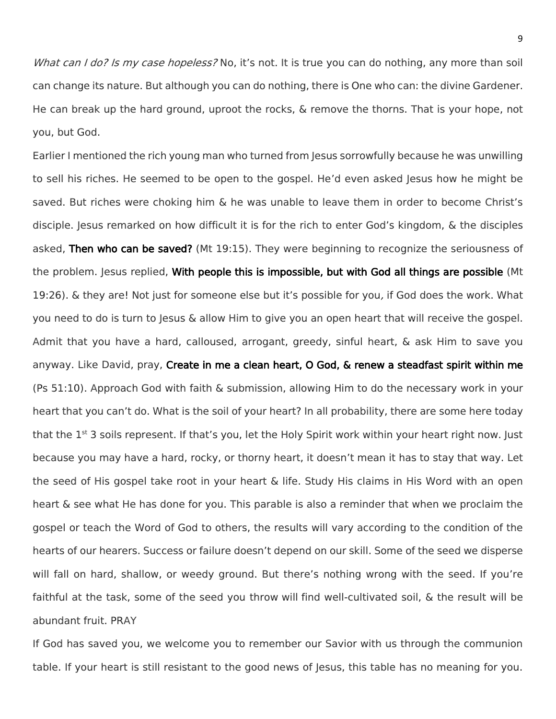What can I do? Is my case hopeless? No, it's not. It is true you can do nothing, any more than soil can change its nature. But although you can do nothing, there is One who can: the divine Gardener. He can break up the hard ground, uproot the rocks, & remove the thorns. That is your hope, not you, but God.

Earlier I mentioned the rich young man who turned from Jesus sorrowfully because he was unwilling to sell his riches. He seemed to be open to the gospel. He'd even asked Jesus how he might be saved. But riches were choking him & he was unable to leave them in order to become Christ's disciple. Jesus remarked on how difficult it is for the rich to enter God's kingdom, & the disciples asked, Then who can be saved? (Mt 19:15). They were beginning to recognize the seriousness of the problem. Jesus replied, With people this is impossible, but with God all things are possible (Mt 19:26). & they are! Not just for someone else but it's possible for you, if God does the work. What you need to do is turn to Jesus & allow Him to give you an open heart that will receive the gospel. Admit that you have a hard, calloused, arrogant, greedy, sinful heart, & ask Him to save you anyway. Like David, pray, Create in me a clean heart, O God, & renew a steadfast spirit within me (Ps 51:10). Approach God with faith & submission, allowing Him to do the necessary work in your heart that you can't do. What is the soil of your heart? In all probability, there are some here today that the 1<sup>st</sup> 3 soils represent. If that's you, let the Holy Spirit work within your heart right now. Just because you may have a hard, rocky, or thorny heart, it doesn't mean it has to stay that way. Let the seed of His gospel take root in your heart & life. Study His claims in His Word with an open heart & see what He has done for you. This parable is also a reminder that when we proclaim the gospel or teach the Word of God to others, the results will vary according to the condition of the hearts of our hearers. Success or failure doesn't depend on our skill. Some of the seed we disperse will fall on hard, shallow, or weedy ground. But there's nothing wrong with the seed. If you're faithful at the task, some of the seed you throw will find well-cultivated soil, & the result will be abundant fruit. PRAY

If God has saved you, we welcome you to remember our Savior with us through the communion table. If your heart is still resistant to the good news of Jesus, this table has no meaning for you.